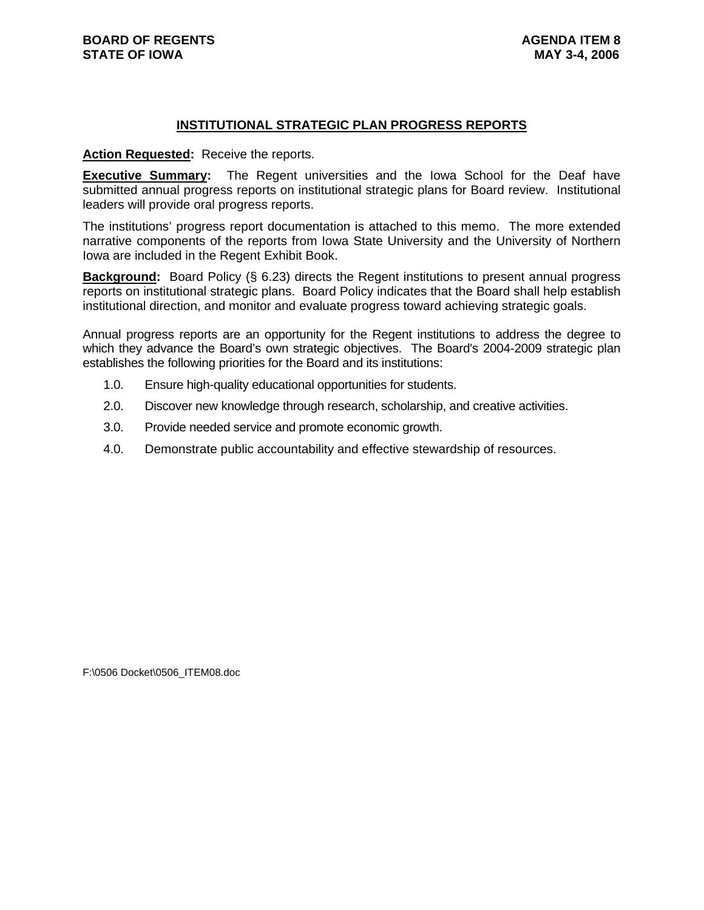#### **INSTITUTIONAL STRATEGIC PLAN PROGRESS REPORTS**

#### **Action Requested:** Receive the reports.

**Executive Summary:** The Regent universities and the Iowa School for the Deaf have submitted annual progress reports on institutional strategic plans for Board review. Institutional leaders will provide oral progress reports.

The institutions' progress report documentation is attached to this memo. The more extended narrative components of the reports from Iowa State University and the University of Northern Iowa are included in the Regent Exhibit Book.

**Background:** Board Policy (§ 6.23) directs the Regent institutions to present annual progress reports on institutional strategic plans. Board Policy indicates that the Board shall help establish institutional direction, and monitor and evaluate progress toward achieving strategic goals.

Annual progress reports are an opportunity for the Regent institutions to address the degree to which they advance the Board's own strategic objectives. The Board's 2004-2009 strategic plan establishes the following priorities for the Board and its institutions:

- 1.0. Ensure high-quality educational opportunities for students.
- 2.0. Discover new knowledge through research, scholarship, and creative activities.
- 3.0. Provide needed service and promote economic growth.
- 4.0. Demonstrate public accountability and effective stewardship of resources.

F:\0506 Docket\0506\_ITEM08.doc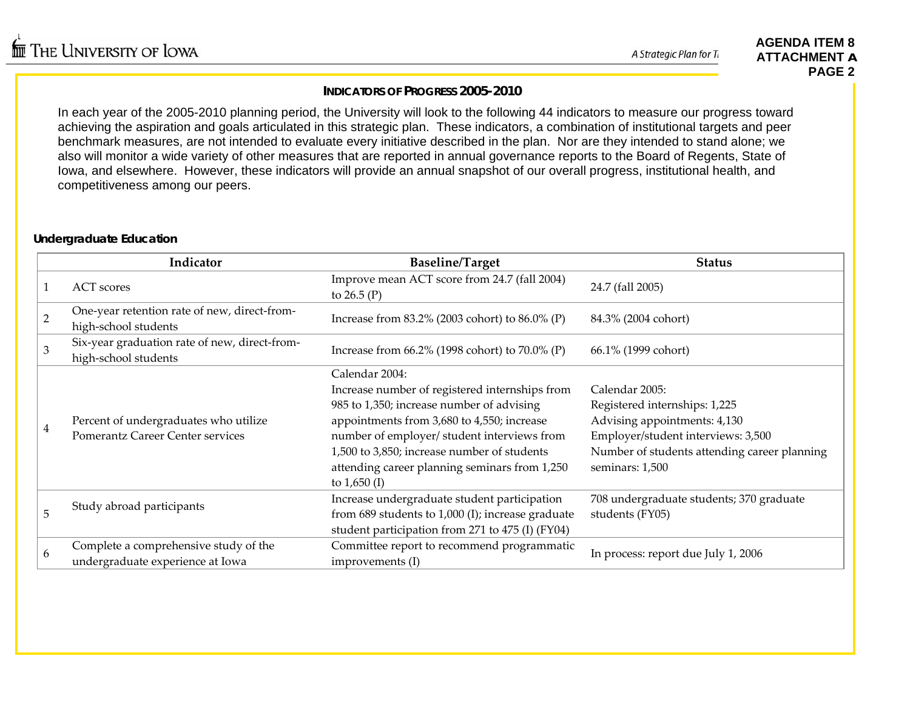A Strategic Plan for T.

#### **AGENDA ITEM 8 ATTACHMENT APAGE 2**

## **INDICATORS OF PROGRESS 2005-2010**

In each year of the 2005-2010 planning period, the University will look to the following 44 indicators to measure our progress toward achieving the aspiration and goals articulated in this strategic plan. These indicators, a combination of institutional targets and peer benchmark measures, are not intended to evaluate every initiative described in the plan. Nor are they intended to stand alone; we also will monitor a wide variety of other measures that are reported in annual governance reports to the Board of Regents, State of Iowa, and elsewhere. However, these indicators will provide an annual snapshot of our overall progress, institutional health, and competitiveness among our peers.

## **Undergraduate Education**

|                | Indicator                                                                        | <b>Baseline/Target</b>                                                                                                                                                                                                                                                                                                       | <b>Status</b>                                                                                                                                                                            |
|----------------|----------------------------------------------------------------------------------|------------------------------------------------------------------------------------------------------------------------------------------------------------------------------------------------------------------------------------------------------------------------------------------------------------------------------|------------------------------------------------------------------------------------------------------------------------------------------------------------------------------------------|
|                | <b>ACT</b> scores                                                                | Improve mean ACT score from 24.7 (fall 2004)<br>to $26.5(P)$                                                                                                                                                                                                                                                                 | 24.7 (fall 2005)                                                                                                                                                                         |
| $\overline{2}$ | One-year retention rate of new, direct-from-<br>high-school students             | Increase from $83.2\%$ (2003 cohort) to $86.0\%$ (P)                                                                                                                                                                                                                                                                         | 84.3% (2004 cohort)                                                                                                                                                                      |
| 3              | Six-year graduation rate of new, direct-from-<br>high-school students            | Increase from 66.2% (1998 cohort) to 70.0% (P)                                                                                                                                                                                                                                                                               | 66.1% (1999 cohort)                                                                                                                                                                      |
| 4              | Percent of undergraduates who utilize<br><b>Pomerantz Career Center services</b> | Calendar 2004:<br>Increase number of registered internships from<br>985 to 1,350; increase number of advising<br>appointments from 3,680 to 4,550; increase<br>number of employer/ student interviews from<br>1,500 to 3,850; increase number of students<br>attending career planning seminars from 1,250<br>to $1,650$ (I) | Calendar 2005:<br>Registered internships: 1,225<br>Advising appointments: 4,130<br>Employer/student interviews: 3,500<br>Number of students attending career planning<br>seminars: 1,500 |
| 5              | Study abroad participants                                                        | Increase undergraduate student participation<br>from 689 students to 1,000 (I); increase graduate<br>student participation from 271 to 475 (I) (FY04)                                                                                                                                                                        | 708 undergraduate students; 370 graduate<br>students (FY05)                                                                                                                              |
| 6              | Complete a comprehensive study of the<br>undergraduate experience at Iowa        | Committee report to recommend programmatic<br>improvements (I)                                                                                                                                                                                                                                                               | In process: report due July 1, 2006                                                                                                                                                      |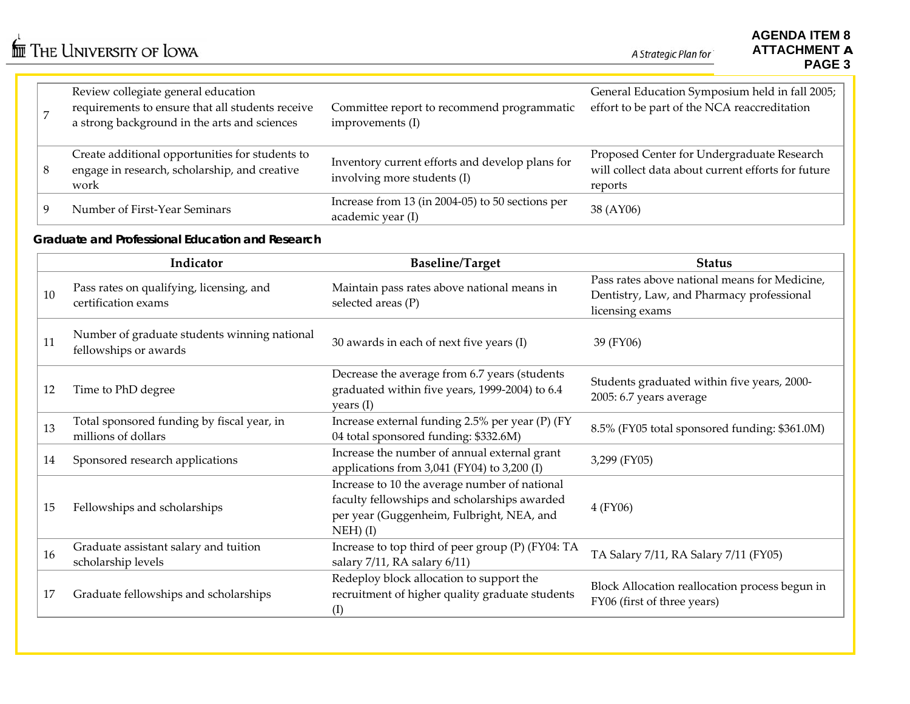$\stackrel{\leftarrow}{\mathbb{I}\mathbb{I}\mathbb{I}}$  The University of Iowa

A Strategic Plan for

|   | Review collegiate general education<br>requirements to ensure that all students receive<br>a strong background in the arts and sciences | Committee report to recommend programmatic<br>improvements (I)                 | General Education Symposium held in fall 2005;<br>effort to be part of the NCA reaccreditation              |
|---|-----------------------------------------------------------------------------------------------------------------------------------------|--------------------------------------------------------------------------------|-------------------------------------------------------------------------------------------------------------|
| 8 | Create additional opportunities for students to<br>engage in research, scholarship, and creative<br>work                                | Inventory current efforts and develop plans for<br>involving more students (I) | Proposed Center for Undergraduate Research<br>will collect data about current efforts for future<br>reports |
|   | Number of First-Year Seminars                                                                                                           | Increase from 13 (in 2004-05) to 50 sections per<br>academic year (I)          | 38 (AY06)                                                                                                   |

#### **Graduate and Professional Education and Research**

|    | Indicator                                                             | <b>Baseline/Target</b>                                                                                                                                   | <b>Status</b>                                                                                                 |
|----|-----------------------------------------------------------------------|----------------------------------------------------------------------------------------------------------------------------------------------------------|---------------------------------------------------------------------------------------------------------------|
| 10 | Pass rates on qualifying, licensing, and<br>certification exams       | Maintain pass rates above national means in<br>selected areas (P)                                                                                        | Pass rates above national means for Medicine,<br>Dentistry, Law, and Pharmacy professional<br>licensing exams |
| 11 | Number of graduate students winning national<br>fellowships or awards | 30 awards in each of next five years (I)                                                                                                                 | 39 (FY06)                                                                                                     |
| 12 | Time to PhD degree                                                    | Decrease the average from 6.7 years (students<br>graduated within five years, 1999-2004) to 6.4<br>years (I)                                             | Students graduated within five years, 2000-<br>2005: 6.7 years average                                        |
| 13 | Total sponsored funding by fiscal year, in<br>millions of dollars     | Increase external funding 2.5% per year (P) (FY<br>04 total sponsored funding: \$332.6M)                                                                 | 8.5% (FY05 total sponsored funding: \$361.0M)                                                                 |
| 14 | Sponsored research applications                                       | Increase the number of annual external grant<br>applications from $3,041$ (FY04) to $3,200$ (I)                                                          | 3,299 (FY05)                                                                                                  |
| 15 | Fellowships and scholarships                                          | Increase to 10 the average number of national<br>faculty fellowships and scholarships awarded<br>per year (Guggenheim, Fulbright, NEA, and<br>$NEH)$ (I) | 4 (FY06)                                                                                                      |
| 16 | Graduate assistant salary and tuition<br>scholarship levels           | Increase to top third of peer group (P) (FY04: TA<br>salary 7/11, RA salary 6/11)                                                                        | TA Salary 7/11, RA Salary 7/11 (FY05)                                                                         |
| 17 | Graduate fellowships and scholarships                                 | Redeploy block allocation to support the<br>recruitment of higher quality graduate students<br>(I)                                                       | Block Allocation reallocation process begun in<br>FY06 (first of three years)                                 |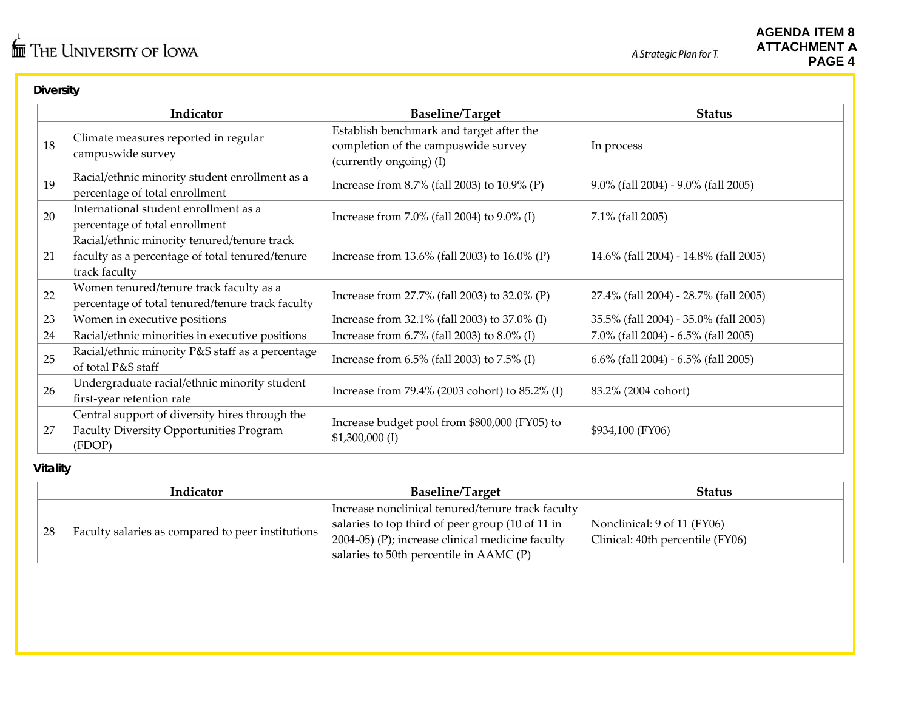## **Diversity**

|    | Indicator                                                                                                       | <b>Baseline/Target</b>                                                                                     | <b>Status</b>                             |  |  |
|----|-----------------------------------------------------------------------------------------------------------------|------------------------------------------------------------------------------------------------------------|-------------------------------------------|--|--|
| 18 | Climate measures reported in regular<br>campuswide survey                                                       | Establish benchmark and target after the<br>completion of the campuswide survey<br>(currently ongoing) (I) | In process                                |  |  |
| 19 | Racial/ethnic minority student enrollment as a<br>percentage of total enrollment                                | Increase from 8.7% (fall 2003) to 10.9% (P)                                                                | 9.0% (fall 2004) - 9.0% (fall 2005)       |  |  |
| 20 | International student enrollment as a<br>percentage of total enrollment                                         | Increase from 7.0% (fall 2004) to 9.0% (I)                                                                 | 7.1% (fall 2005)                          |  |  |
| 21 | Racial/ethnic minority tenured/tenure track<br>faculty as a percentage of total tenured/tenure<br>track faculty | Increase from 13.6% (fall 2003) to 16.0% (P)                                                               | 14.6% (fall 2004) - 14.8% (fall 2005)     |  |  |
| 22 | Women tenured/tenure track faculty as a<br>percentage of total tenured/tenure track faculty                     | Increase from 27.7% (fall 2003) to 32.0% (P)                                                               | 27.4% (fall 2004) - 28.7% (fall 2005)     |  |  |
| 23 | Women in executive positions                                                                                    | Increase from 32.1% (fall 2003) to 37.0% (I)                                                               | 35.5% (fall 2004) - 35.0% (fall 2005)     |  |  |
| 24 | Racial/ethnic minorities in executive positions                                                                 | Increase from 6.7% (fall 2003) to 8.0% (I)                                                                 | 7.0% (fall 2004) - 6.5% (fall 2005)       |  |  |
| 25 | Racial/ethnic minority P&S staff as a percentage<br>of total P&S staff                                          | Increase from $6.5\%$ (fall 2003) to $7.5\%$ (I)                                                           | $6.6\%$ (fall 2004) - $6.5\%$ (fall 2005) |  |  |
| 26 | Undergraduate racial/ethnic minority student<br>first-year retention rate                                       | Increase from 79.4% (2003 cohort) to 85.2% (I)                                                             | 83.2% (2004 cohort)                       |  |  |
| 27 | Central support of diversity hires through the<br><b>Faculty Diversity Opportunities Program</b><br>(FDOP)      | Increase budget pool from \$800,000 (FY05) to<br>$$1,300,000$ (I)                                          | \$934,100 (FY06)                          |  |  |

## **Vitality**

|    | Indicator                                         | <b>Baseline/Target</b>                            | <b>Status</b>                    |
|----|---------------------------------------------------|---------------------------------------------------|----------------------------------|
|    | Faculty salaries as compared to peer institutions | Increase nonclinical tenured/tenure track faculty |                                  |
| 28 |                                                   | salaries to top third of peer group (10 of 11 in  | Nonclinical: 9 of 11 (FY06)      |
|    |                                                   | 2004-05) (P); increase clinical medicine faculty  | Clinical: 40th percentile (FY06) |
|    |                                                   | salaries to 50th percentile in $AAMC(P)$          |                                  |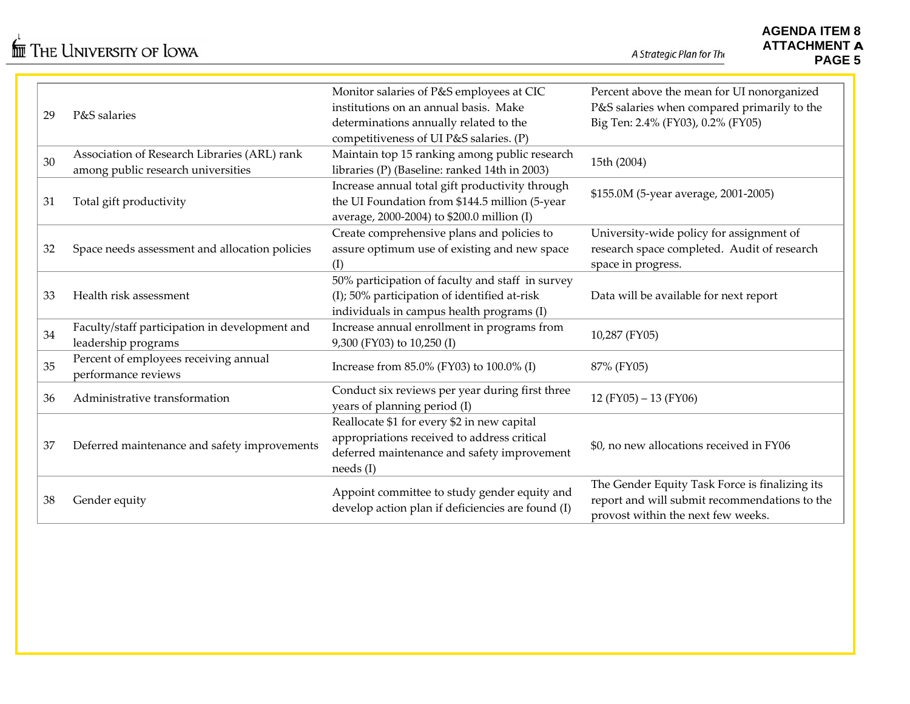A Strategic Plan for The

| 29 | P&S salaries                                                                       | Monitor salaries of P&S employees at CIC<br>institutions on an annual basis. Make<br>determinations annually related to the<br>competitiveness of UI P&S salaries. (P) | Percent above the mean for UI nonorganized<br>P&S salaries when compared primarily to the<br>Big Ten: 2.4% (FY03), 0.2% (FY05)        |
|----|------------------------------------------------------------------------------------|------------------------------------------------------------------------------------------------------------------------------------------------------------------------|---------------------------------------------------------------------------------------------------------------------------------------|
| 30 | Association of Research Libraries (ARL) rank<br>among public research universities | Maintain top 15 ranking among public research<br>libraries (P) (Baseline: ranked 14th in 2003)                                                                         | 15th (2004)                                                                                                                           |
| 31 | Total gift productivity                                                            | Increase annual total gift productivity through<br>the UI Foundation from \$144.5 million (5-year<br>average, 2000-2004) to \$200.0 million (I)                        | \$155.0M (5-year average, 2001-2005)                                                                                                  |
| 32 | Space needs assessment and allocation policies                                     | Create comprehensive plans and policies to<br>assure optimum use of existing and new space<br>(I)                                                                      | University-wide policy for assignment of<br>research space completed. Audit of research<br>space in progress.                         |
| 33 | Health risk assessment                                                             | 50% participation of faculty and staff in survey<br>(I); 50% participation of identified at-risk<br>individuals in campus health programs (I)                          | Data will be available for next report                                                                                                |
| 34 | Faculty/staff participation in development and<br>leadership programs              | Increase annual enrollment in programs from<br>9,300 (FY03) to 10,250 (I)                                                                                              | 10,287 (FY05)                                                                                                                         |
| 35 | Percent of employees receiving annual<br>performance reviews                       | Increase from 85.0% (FY03) to 100.0% (I)                                                                                                                               | 87% (FY05)                                                                                                                            |
| 36 | Administrative transformation                                                      | Conduct six reviews per year during first three<br>years of planning period (I)                                                                                        | 12 (FY05) - 13 (FY06)                                                                                                                 |
| 37 | Deferred maintenance and safety improvements                                       | Reallocate \$1 for every \$2 in new capital<br>appropriations received to address critical<br>deferred maintenance and safety improvement<br>needs(I)                  | \$0, no new allocations received in FY06                                                                                              |
| 38 | Gender equity                                                                      | Appoint committee to study gender equity and<br>develop action plan if deficiencies are found (I)                                                                      | The Gender Equity Task Force is finalizing its<br>report and will submit recommendations to the<br>provost within the next few weeks. |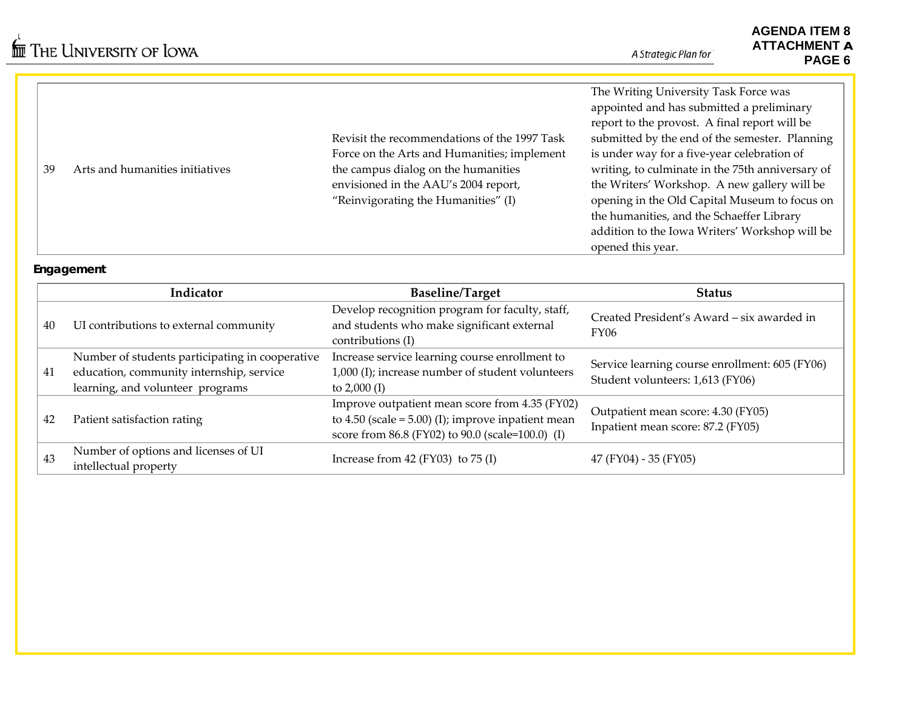|    |                                 |                                              | The Writing University Task Force was            |
|----|---------------------------------|----------------------------------------------|--------------------------------------------------|
|    |                                 |                                              | appointed and has submitted a preliminary        |
|    |                                 |                                              | report to the provost. A final report will be    |
|    |                                 | Revisit the recommendations of the 1997 Task | submitted by the end of the semester. Planning   |
|    |                                 | Force on the Arts and Humanities; implement  | is under way for a five-year celebration of      |
| 39 | Arts and humanities initiatives | the campus dialog on the humanities          | writing, to culminate in the 75th anniversary of |
|    |                                 | envisioned in the AAU's 2004 report,         | the Writers' Workshop. A new gallery will be     |
|    |                                 | "Reinvigorating the Humanities" (I)          | opening in the Old Capital Museum to focus on    |
|    |                                 |                                              | the humanities, and the Schaeffer Library        |
|    |                                 |                                              | addition to the Iowa Writers' Workshop will be   |
|    |                                 |                                              | opened this year.                                |

#### **Engagement**

|    | Indicator                                                                                                                       | <b>Baseline/Target</b>                                                                                                                                        | <b>Status</b>                                                                      |
|----|---------------------------------------------------------------------------------------------------------------------------------|---------------------------------------------------------------------------------------------------------------------------------------------------------------|------------------------------------------------------------------------------------|
| 40 | UI contributions to external community                                                                                          | Develop recognition program for faculty, staff,<br>and students who make significant external<br>contributions (I)                                            | Created President's Award – six awarded in<br><b>FY06</b>                          |
| 41 | Number of students participating in cooperative<br>education, community internship, service<br>learning, and volunteer programs | Increase service learning course enrollment to<br>1,000 (I); increase number of student volunteers<br>to $2,000$ (I)                                          | Service learning course enrollment: 605 (FY06)<br>Student volunteers: 1,613 (FY06) |
| 42 | Patient satisfaction rating                                                                                                     | Improve outpatient mean score from 4.35 (FY02)<br>to $4.50$ (scale = $5.00$ ) (I); improve inpatient mean<br>score from 86.8 (FY02) to 90.0 (scale=100.0) (I) | Outpatient mean score: 4.30 (FY05)<br>Inpatient mean score: 87.2 (FY05)            |
| 43 | Number of options and licenses of UI<br>intellectual property                                                                   | Increase from 42 (FY03) to $75$ (I)                                                                                                                           | 47 (FY04) - 35 (FY05)                                                              |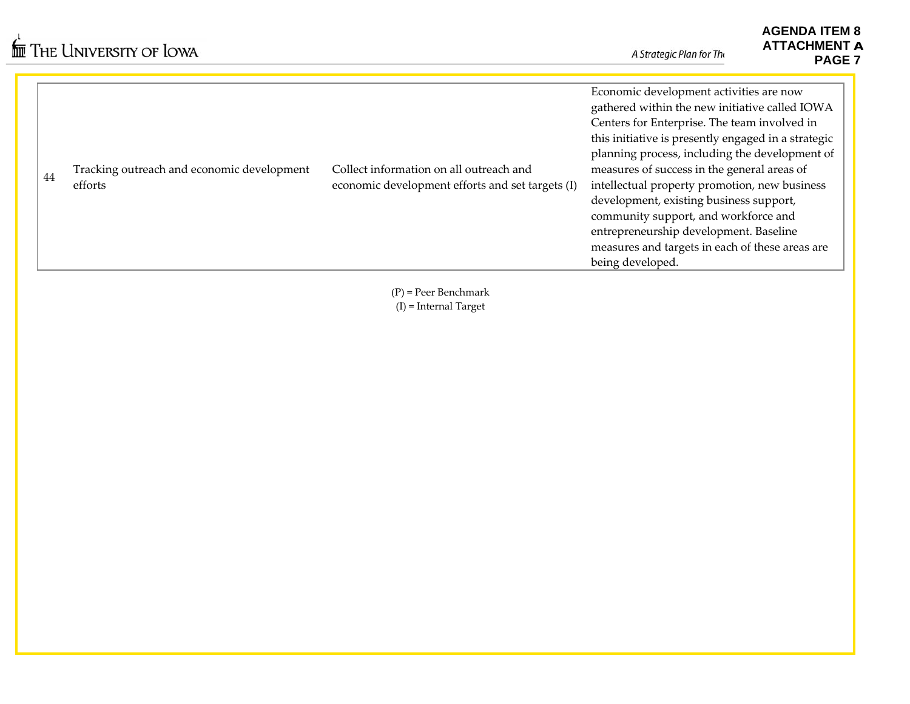| 44 | Tracking outreach and economic development<br>efforts | Collect information on all outreach and<br>economic development efforts and set targets (I) | Economic development activities are now<br>gathered within the new initiative called IOWA<br>Centers for Enterprise. The team involved in<br>this initiative is presently engaged in a strategic<br>planning process, including the development of<br>measures of success in the general areas of<br>intellectual property promotion, new business<br>development, existing business support,<br>community support, and workforce and<br>entrepreneurship development. Baseline<br>measures and targets in each of these areas are<br>being developed. |
|----|-------------------------------------------------------|---------------------------------------------------------------------------------------------|--------------------------------------------------------------------------------------------------------------------------------------------------------------------------------------------------------------------------------------------------------------------------------------------------------------------------------------------------------------------------------------------------------------------------------------------------------------------------------------------------------------------------------------------------------|
|----|-------------------------------------------------------|---------------------------------------------------------------------------------------------|--------------------------------------------------------------------------------------------------------------------------------------------------------------------------------------------------------------------------------------------------------------------------------------------------------------------------------------------------------------------------------------------------------------------------------------------------------------------------------------------------------------------------------------------------------|

(P) <sup>=</sup> Peer Benchmark (I) <sup>=</sup> Internal Target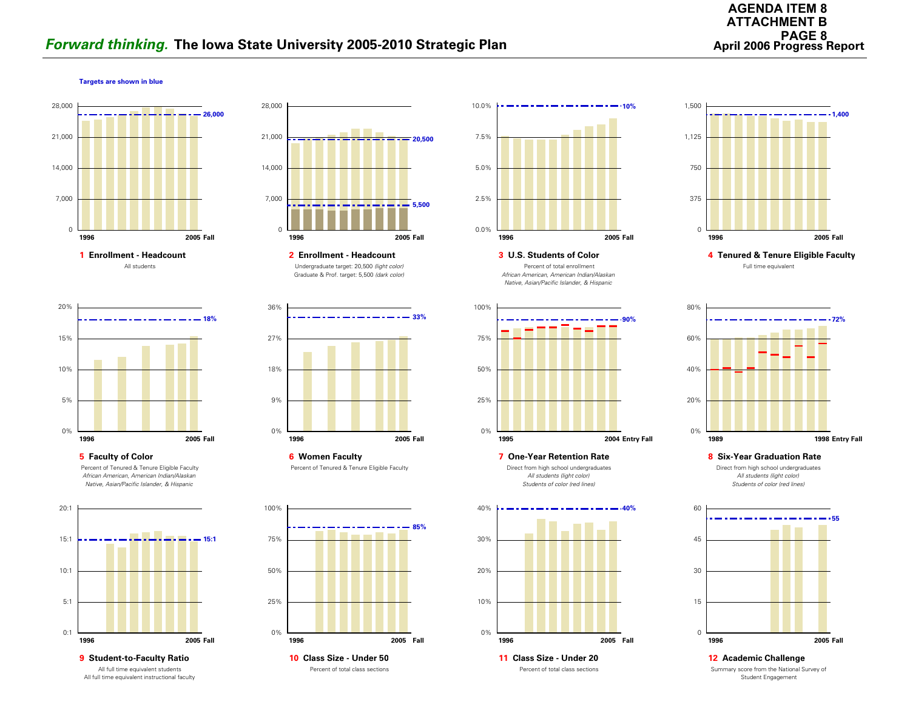# **Forward thinking.** The Iowa State University 2005-2010 Strategic Plan **Access Access Access Report** April 2006 Progress Report

#### **Targets are shown in blue**







**5 Faculty of Color** Percent of Tenured & Tenure Eligible Faculty *African American, American Indian/Alaskan Native, Asian/Pacific Islander, & Hispanic*



**9 Student-to-Faculty Ratio** All full time equivalent students All full time equivalent instructional faculty



Undergraduate target: 20,500 *(light color)* Graduate & Prof. target: 5,500 *(dark color)* **2 Enrollment - Headcount**



**6 Women Faculty** Percent of Tenured & Tenure Eligible Faculty



Percent of total class sections







#### **7 One-Year Retention Rate**

Direct from high school undergraduates *All students (light color) Students of color (red lines)*





 **4 Tenured & Tenure Eligible Faculty** Full time equivalent



**8 Six-Year Graduation Rate**

Direct from high school undergraduates *All students (light color) Students of color (red lines)*



Summary score from the National Survey of Student Engagement **12 Academic Challenge**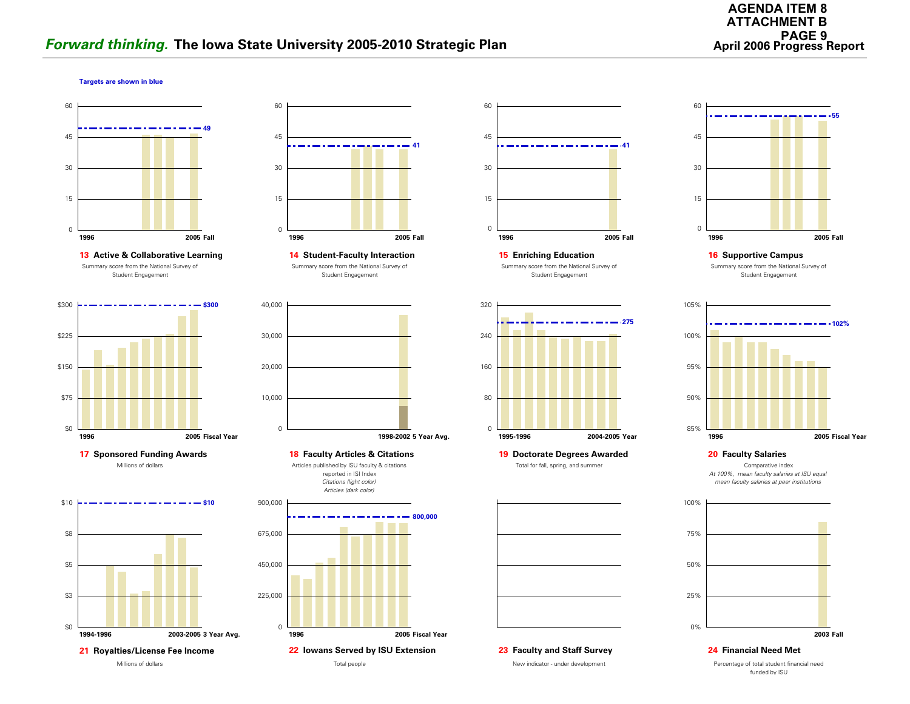#### **Targets are shown in blue**







**17 Sponsored Funding Awards 18 Faculty Articles & Citations** Millions of dollars





Summary score from the National Survey of Student Engagement



Articles published by ISU faculty & citations reported in ISI Index









**19 Doctorate Degrees Awarded** Total for fall, spring, and summer



**23 Faculty and Staff Survey**

New indicator - under development



**16 Supportive Campus** Summary score from the National Survey of Student Engagement



**20 Faculty Salaries**

Comparative index *At 100%, mean faculty salaries at ISU equal mean faculty salaries at peer institutions*



**24 Financial Need Met**

Percentage of total student financial need funded by ISU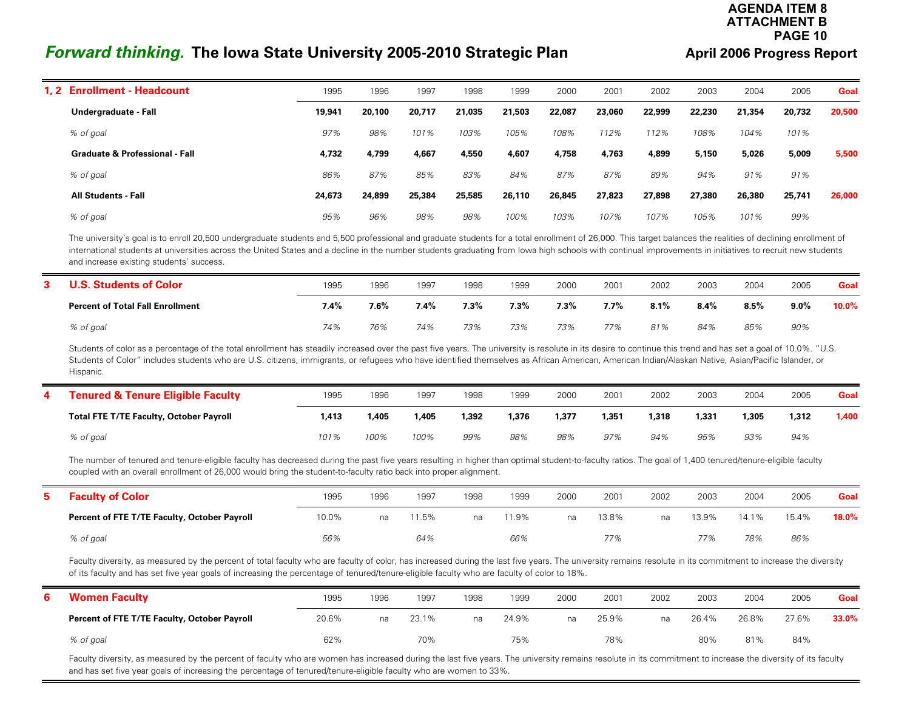#### **AGENDA ITEM 8ATTACHMENT BPAGE 10**

# *Forward thinking.* **The Iowa State University 2005-2010 Strategic Plan**

 $\equiv$ 

#### **April 2006 Progress Report**

| 1.2 Enrollment - Headcount                | 1995   | 1996   | 1997   | 1998   | 1999   | 2000   | 2001   | 2002   | 2003   | 2004   | 2005   | Goal   |
|-------------------------------------------|--------|--------|--------|--------|--------|--------|--------|--------|--------|--------|--------|--------|
| Undergraduate - Fall                      | 19,941 | 20,100 | 20,717 | 21,035 | 21,503 | 22,087 | 23,060 | 22,999 | 22,230 | 21,354 | 20,732 | 20,500 |
| % of goal                                 | 97%    | 98%    | 101%   | 103%   | 105%   | 108%   | 112%   | 112%   | 108%   | 104%   | 101%   |        |
| <b>Graduate &amp; Professional - Fall</b> | 4,732  | 4,799  | 4,667  | 4,550  | 4,607  | 4,758  | 4,763  | 4,899  | 5,150  | 5,026  | 5,009  | 5,500  |
| % of goal                                 | 86%    | 87%    | 85%    | 83%    | 84%    | 87%    | 87%    | 89%    | 94%    | 91%    | 91%    |        |
| <b>All Students - Fall</b>                | 24,673 | 24,899 | 25,384 | 25,585 | 26,110 | 26,845 | 27,823 | 27,898 | 27,380 | 26,380 | 25,741 | 26,000 |
| % of goal                                 | 95%    | 96%    | 98%    | 98%    | 100%   | 103%   | 107%   | 107%   | 105%   | 101%   | 99%    |        |

The university's goal is to enroll 20,500 undergraduate students and 5,500 professional and graduate students for a total enrollment of 26,000. This target balances the realities of declining enrollment of international students at universities across the United States and a decline in the number students graduating from Iowa high schools with continual improvements in initiatives to recruit new students and increase existing students' success.

| . Students of Color<br>J.S.             | 1995 | 1996 | 1997    | 1998 | 1999    | 2000    | 2001    | 2002 | 2003 | 2004 | 2005    | Goal  |
|-----------------------------------------|------|------|---------|------|---------|---------|---------|------|------|------|---------|-------|
| <b>Percent of Total Fall Enrollment</b> | 7.4% | 7.6% | $7.4\%$ | 7.3% | $7.3\%$ | $7.3\%$ | $7.7\%$ | 8.1% | 8.4% | 8.5% | $9.0\%$ | 10.0% |
| % of goal                               | 74%  | 76%  | 74%     | 73%  | 73%     | 73%     | 77%     | 81%  | 84%  | 85%  | 90%     |       |

Students of color as a percentage of the total enrollment has steadily increased over the past five years. The university is resolute in its desire to continue this trend and has set a goal of 10.0%. "U.S. Students of Color" includes students who are U.S. citizens, immigrants, or refugees who have identified themselves as African American, American Indian/Alaskan Native, Asian/Pacific Islander, or Hispanic.

| <b>Tenured &amp; Tenure Eligible Faculty</b>   | 1995  | 1996  | 1997  | 1998  | 1999  | 2000  | 2001  | 2002 | 2003  | 2004  | 2005  | Goal  |
|------------------------------------------------|-------|-------|-------|-------|-------|-------|-------|------|-------|-------|-------|-------|
| <b>Total FTE T/TE Faculty, October Payroll</b> | 1,413 | 1,405 | l.405 | 1,392 | 1,376 | 1,377 | 1,351 | 318, | 1,331 | 1.305 | 1,312 | 4.400 |
| % of goal                                      | 101%  | 100%  | 100%  | 99%   | 98%   | 98%   | 97%   | 94%  | 95%   | 93%   | 94%   |       |

The number of tenured and tenure-eligible faculty has decreased during the past five years resulting in higher than optimal student-to-faculty ratios. The goal of 1,400 tenured/tenure-eligible faculty coupled with an overall enrollment of 26,000 would bring the student-to-faculty ratio back into proper alignment.

| <b>Faculty of Color</b>                      | 1995  | 1996 | 1997 | 1998 | 1999 | 2000 | 2001  | 2002 | 2003  | 2004  | 2005  | Goal  |
|----------------------------------------------|-------|------|------|------|------|------|-------|------|-------|-------|-------|-------|
| Percent of FTE T/TE Faculty, October Payroll | 10.0% | na   | 1.5% | na   | 1.9% | na   | 13.8% | na.  | 13.9% | 14.1% | 15.4% | 18.0% |
| % of goal                                    | 56%   |      | 64%  |      | 66%  |      | 77%   |      | 77%   | 78%   | 86%   |       |

Faculty diversity, as measured by the percent of total faculty who are faculty of color, has increased during the last five years. The university remains resolute in its commitment to increase the diversity of its faculty and has set five year goals of increasing the percentage of tenured/tenure-eligible faculty who are faculty of color to 18%.

| <b>Women Faculty</b>                         | 1995  | 1996 | 1997  | 1998 | 1999  | 2000 | 2001  | 2002 | 2003  | 2004  | 2005  | Goal  |
|----------------------------------------------|-------|------|-------|------|-------|------|-------|------|-------|-------|-------|-------|
| Percent of FTE T/TE Faculty, October Payroll | 20.6% | na   | 23.1% | na   | 24.9% | na   | 25.9% | na   | 26.4% | 26.8% | 27.6% | 33.0% |
| % of goal                                    | 62%   |      | 70%   |      | 75%   |      | 78%   |      | 80%   | 81%   | 84%   |       |

Faculty diversity, as measured by the percent of faculty who are women has increased during the last five years. The university remains resolute in its commitment to increase the diversity of its faculty and has set five year goals of increasing the percentage of tenured/tenure-eligible faculty who are women to 33%.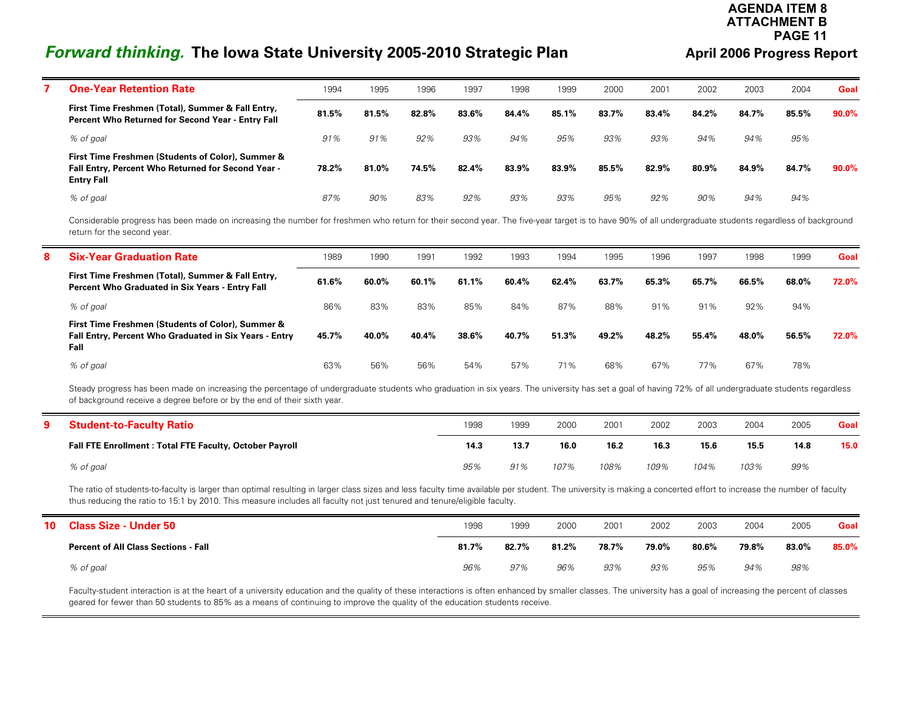#### **AGENDA ITEM 8ATTACHMENT BPAGE 11**

# *Forward thinking.* **The Iowa State University 2005-2010 Strategic Plan <b>Auck April 2006 Progress Report**

 $\equiv$ 

| <b>One-Year Retention Rate</b>                                                                                               | 1994  | 1995  | 1996  | 1997  | 1998  | 1999  | 2000  | 2001  | 2002  | 2003  | 2004  | Goal  |
|------------------------------------------------------------------------------------------------------------------------------|-------|-------|-------|-------|-------|-------|-------|-------|-------|-------|-------|-------|
| First Time Freshmen (Total), Summer & Fall Entry,<br>Percent Who Returned for Second Year - Entry Fall                       | 81.5% | 81.5% | 82.8% | 83.6% | 84.4% | 85.1% | 83.7% | 83.4% | 84.2% | 84.7% | 85.5% | 90.0% |
| % of goal                                                                                                                    | 91%   | 91%   | 92%   | 93%   | 94%   | 95%   | 93%   | 93%   | 94%   | 94%   | 95%   |       |
| First Time Freshmen (Students of Color), Summer &<br>Fall Entry, Percent Who Returned for Second Year -<br><b>Entry Fall</b> | 78.2% | 81.0% | 74.5% | 82.4% | 83.9% | 83.9% | 85.5% | 82.9% | 80.9% | 84.9% | 84.7% | 90.0% |
| % of goal                                                                                                                    | 87%   | 90%   | 83%   | 92%   | 93%   | 93%   | 95%   | 92%   | 90%   | 94%   | 94%   |       |

Considerable progress has been made on increasing the number for freshmen who return for their second year. The five-year target is to have 90% of all undergraduate students regardless of background return for the second year.

| 8 | <b>Six-Year Graduation Rate</b>                                                                                     | 1989  | 1990  | 1991  | 1992  | 1993  | 1994  | 1995  | 1996  | 1997  | 1998  | 1999  | Goal  |
|---|---------------------------------------------------------------------------------------------------------------------|-------|-------|-------|-------|-------|-------|-------|-------|-------|-------|-------|-------|
|   | First Time Freshmen (Total), Summer & Fall Entry,<br><b>Percent Who Graduated in Six Years - Entry Fall</b>         | 61.6% | 60.0% | 60.1% | 61.1% | 60.4% | 62.4% | 63.7% | 65.3% | 65.7% | 66.5% | 68.0% | 72.0% |
|   | % of goal                                                                                                           | 86%   | 83%   | 83%   | 85%   | 84%   | 87%   | 88%   | 91%   | 91%   | 92%   | 94%   |       |
|   | First Time Freshmen (Students of Color), Summer &<br>Fall Entry, Percent Who Graduated in Six Years - Entry<br>Fall | 45.7% | 40.0% | 40.4% | 38.6% | 40.7% | 51.3% | 49.2% | 48.2% | 55.4% | 48.0% | 56.5% | 72.0% |
|   | % of goal                                                                                                           | 63%   | 56%   | 56%   | 54%   | 57%   | 71%   | 68%   | 67%   | 77%   | 67%   | 78%   |       |

Steady progress has been made on increasing the percentage of undergraduate students who graduation in six years. The university has set a goal of having 72% of all undergraduate students regardless of background receive a degree before or by the end of their sixth year.

| <b>Student-to-Faculty Ratio</b>                          | 1998 | 1999 | 2000 | 2001 | 2002 | 2003 | 2004 | 2005 | Goal |
|----------------------------------------------------------|------|------|------|------|------|------|------|------|------|
| Fall FTE Enrollment : Total FTE Faculty, October Payroll | 14.3 | 13.7 | 16.0 | 16.2 | 16.3 | 15.6 | 15.5 | 14.8 | 15.0 |
| % of goal                                                | 95%  | 91%  | 107% | 108% | 109% | 104% | 103% | 99%  |      |

The ratio of students-to-faculty is larger than optimal resulting in larger class sizes and less faculty time available per student. The university is making a concerted effort to increase the number of faculty thus reducing the ratio to 15:1 by 2010. This measure includes all faculty not just tenured and tenure/eligible faculty.

| 10 | <b>Class Size - Under 50</b>                | 1998  | 1999  | 2000  | 2001  | 2002  | 2003  | 2004  | 2005  | Goal  |
|----|---------------------------------------------|-------|-------|-------|-------|-------|-------|-------|-------|-------|
|    | <b>Percent of All Class Sections - Fall</b> | 81.7% | 82.7% | 81.2% | 78.7% | 79.0% | 80.6% | 79.8% | 83.0% | 85.0% |
|    | % of goal                                   | 96%   | 97%   | 96%   | 93%   | 93%   | 95%   | 94%   | 98%   |       |

Faculty-student interaction is at the heart of a university education and the quality of these interactions is often enhanced by smaller classes. The university has a goal of increasing the percent of classes geared for fewer than 50 students to 85% as a means of continuing to improve the quality of the education students receive.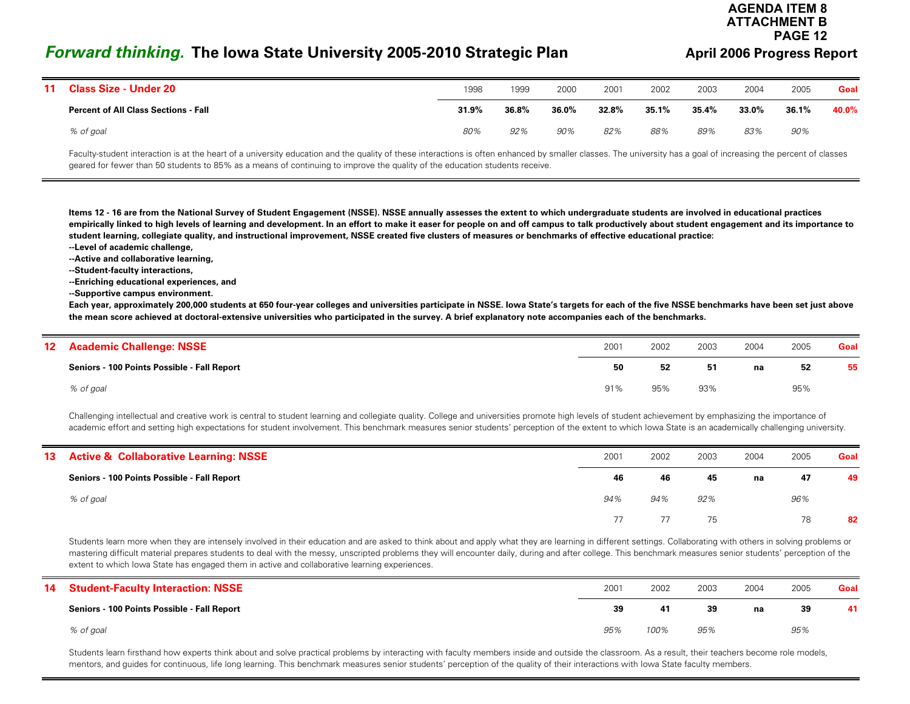# *Forward thinking.* **The Iowa State University 2005-2010 Strategic Plan <b>Auck August 2006 Progress Report**

# **ATTACHMENT BPAGE 12**

**AGENDA ITEM 8**

| 11 Class Size - Under 20                    | 1998  | 1999  | 2000  | 2001  | 2002  | 2003  | 2004  | 2005  | Goal  |
|---------------------------------------------|-------|-------|-------|-------|-------|-------|-------|-------|-------|
| <b>Percent of All Class Sections - Fall</b> | 31.9% | 36.8% | 36.0% | 32.8% | 35.1% | 35.4% | 33.0% | 36.1% | 40.0% |
| % of goal                                   | 80%   | 92%   | 90%   | 82%   | 88%   | 89%   | 83%   | 90%   |       |

Faculty-student interaction is at the heart of a university education and the quality of these interactions is often enhanced by smaller classes. The university has a goal of increasing the percent of classes geared for fewer than 50 students to 85% as a means of continuing to improve the quality of the education students receive.

**Items 12 - 16 are from the National Survey of Student Engagement (NSSE). NSSE annually assesses the extent to which undergraduate students are involved in educational practices empirically linked to high levels of learning and development. In an effort to make it easer for people on and off campus to talk productively about student engagement and its importance to student learning, collegiate quality, and instructional improvement, NSSE created five clusters of measures or benchmarks of effective educational practice:**

- **--Level of academic challenge,**
- **--Active and collaborative learning,**
- **--Student-faculty interactions,**
- **--Enriching educational experiences, and**
- **--Supportive campus environment.**

**Each year, approximately 200,000 students at 650 four-year colleges and universities participate in NSSE. Iowa State's targets for each of the five NSSE benchmarks have been set just above the mean score achieved at doctoral-extensive universities who participated in the survey. A brief explanatory note accompanies each of the benchmarks.**

| 12 <sup>°</sup> | <b>Academic Challenge: NSSE</b>             | 2001 | 2002 | 2003 | 2004 | 2005 | Goal |
|-----------------|---------------------------------------------|------|------|------|------|------|------|
|                 | Seniors - 100 Points Possible - Fall Report | 50   | 52   | 51   | na   | 52   | 55   |
|                 | % of goal                                   | 91%  | 95%  | 93%  |      | 95%  |      |

Challenging intellectual and creative work is central to student learning and collegiate quality. College and universities promote high levels of student achievement by emphasizing the importance of academic effort and setting high expectations for student involvement. This benchmark measures senior students' perception of the extent to which lowa State is an academically challenging university.

| 13 Active & Collaborative Learning: NSSE    | 2001 | 2002 | 2003 | 2004 | 2005 | Goal |
|---------------------------------------------|------|------|------|------|------|------|
| Seniors - 100 Points Possible - Fall Report | 46   | 46   | 45   | na   | 47   | 49   |
| % of goal                                   | 94%  | 94%  | 92%  |      | 96%  |      |
|                                             | 77   |      | 75   |      | 78   | 82   |

Students learn more when they are intensely involved in their education and are asked to think about and apply what they are learning in different settings. Collaborating with others in solving problems or mastering difficult material prepares students to deal with the messy, unscripted problems they will encounter daily, during and after college. This benchmark measures senior students' perception of the extent to which Iowa State has engaged them in active and collaborative learning experiences.

| 14 Student-Faculty Interaction: NSSE        | 2001 | 2002 | 2003 | 2004 | 2005 | Goal |
|---------------------------------------------|------|------|------|------|------|------|
| Seniors - 100 Points Possible - Fall Report | 39   | 41   | 39   | na   | 39   | 41   |
| % of goal                                   | 95%  | 100% | 95%  |      | 95%  |      |

Students learn firsthand how experts think about and solve practical problems by interacting with faculty members inside and outside the classroom. As a result, their teachers become role models, mentors, and guides for continuous, life long learning. This benchmark measures senior students' perception of the quality of their interactions with Iowa State faculty members.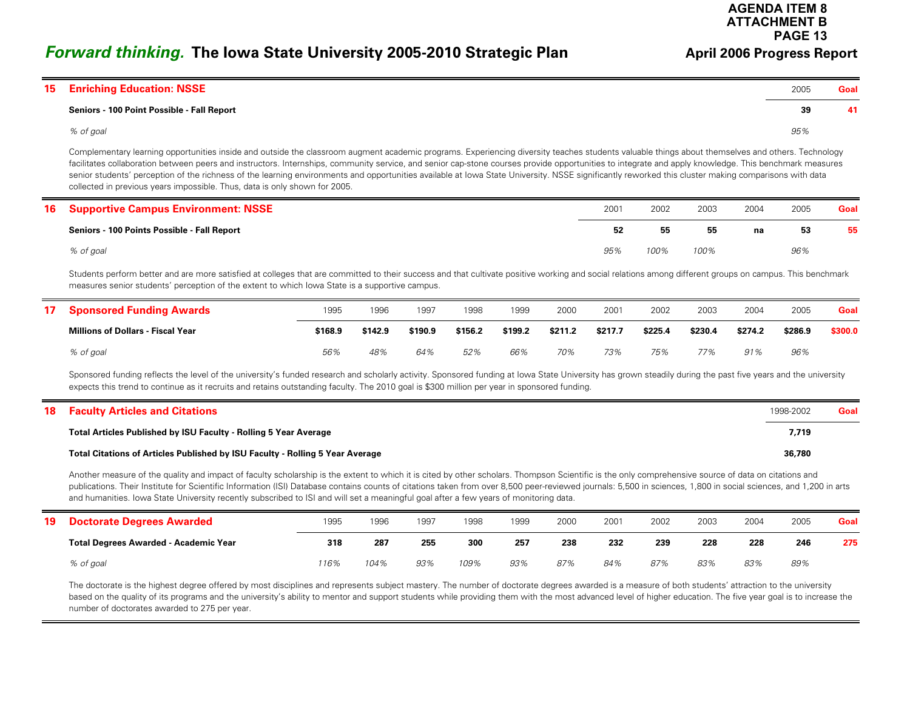**AGENDA ITEM 8ATTACHMENT BPAGE 13**

## *Forward thinking.* **The Iowa State University 2005-2010 Strategic Plan <b>Auck April 2006 Progress Report**

| 15 | <b>Enriching Education: NSSE</b>           | 2005 | Goal |
|----|--------------------------------------------|------|------|
|    | Seniors - 100 Point Possible - Fall Report | 39   | 41   |
|    | % of goal                                  | 95%  |      |

Complementary learning opportunities inside and outside the classroom augment academic programs. Experiencing diversity teaches students valuable things about themselves and others. Technology facilitates collaboration between peers and instructors. Internships, community service, and senior cap-stone courses provide opportunities to integrate and apply knowledge. This benchmark measures senior students' perception of the richness of the learning environments and opportunities available at lowa State University. NSSE significantly reworked this cluster making comparisons with data collected in previous years impossible. Thus, data is only shown for 2005.

| <b>16 Supportive Campus Environment: NSSE</b> | 2001 | 2002 | 2003 | 2004 | 2005 | Goal |
|-----------------------------------------------|------|------|------|------|------|------|
| Seniors - 100 Points Possible - Fall Report   | 52   | 55   | 55   | na   | 53   | 55   |
| % of goal                                     | 95%  | 100% | 100% |      | 96%  |      |

Students perform better and are more satisfied at colleges that are committed to their success and that cultivate positive working and social relations among different groups on campus. This benchmark measures senior students' perception of the extent to which Iowa State is a supportive campus.

| <b>Sponsored Funding Awards</b>          | 1995    | 1996    | 1997    | 1998    | 1999    | 2000    | 2001    | 2002    | 2003    | 2004    | 2005    | Goal    |
|------------------------------------------|---------|---------|---------|---------|---------|---------|---------|---------|---------|---------|---------|---------|
| <b>Millions of Dollars - Fiscal Year</b> | \$168.9 | \$142.9 | \$190.9 | \$156.2 | \$199.2 | \$211.2 | \$217.7 | \$225.4 | \$230.4 | \$274.2 | \$286.9 | \$300.0 |
| % of goal                                | 56%     | 48%     | 64%     | 52%     | 66%     | 70%     | 73%     | 75%     | 77%     | 91%     | 96%     |         |

Sponsored funding reflects the level of the university's funded research and scholarly activity. Sponsored funding at Iowa State University has grown steadily during the past five years and the university expects this trend to continue as it recruits and retains outstanding faculty. The 2010 goal is \$300 million per year in sponsored funding.

| <b>18 Faculty Articles and Citations</b>                                      | 1998-2002 | Goal |
|-------------------------------------------------------------------------------|-----------|------|
| Total Articles Published by ISU Faculty - Rolling 5 Year Average              | 7,719     |      |
| Total Citations of Articles Published by ISU Faculty - Rolling 5 Year Average | 36,780    |      |

Another measure of the quality and impact of faculty scholarship is the extent to which it is cited by other scholars. Thompson Scientific is the only comprehensive source of data on citations and publications. Their Institute for Scientific Information (ISI) Database contains counts of citations taken from over 8,500 peer-reviewed journals: 5,500 in sciences, 1,800 in social sciences, and 1,200 in arts and humanities. Iowa State University recently subscribed to ISI and will set a meaningful goal after a few years of monitoring data.

| 19 | <b>Doctorate Degrees Awarded</b>             | 1995 | 1996 | 1997 | 1998 | 1999 | 2000 | 2001 | 2002 | 2003 | 2004 | 2005 | Goal |
|----|----------------------------------------------|------|------|------|------|------|------|------|------|------|------|------|------|
|    | <b>Total Degrees Awarded - Academic Year</b> | 318  | 287  | 255  | 300  | 257  | 238  | 232  | 239  | 228  | 228  | 246  | 275  |
|    | % of goal                                    | 16%  | 104% | 93%  | 109% | 93%  | 87%  | 84%  | 87%  | 83%  | 83%  | 89%  |      |

The doctorate is the highest degree offered by most disciplines and represents subject mastery. The number of doctorate degrees awarded is a measure of both students' attraction to the university based on the quality of its programs and the university's ability to mentor and support students while providing them with the most advanced level of higher education. The five year goal is to increase the number of doctorates awarded to 275 per year.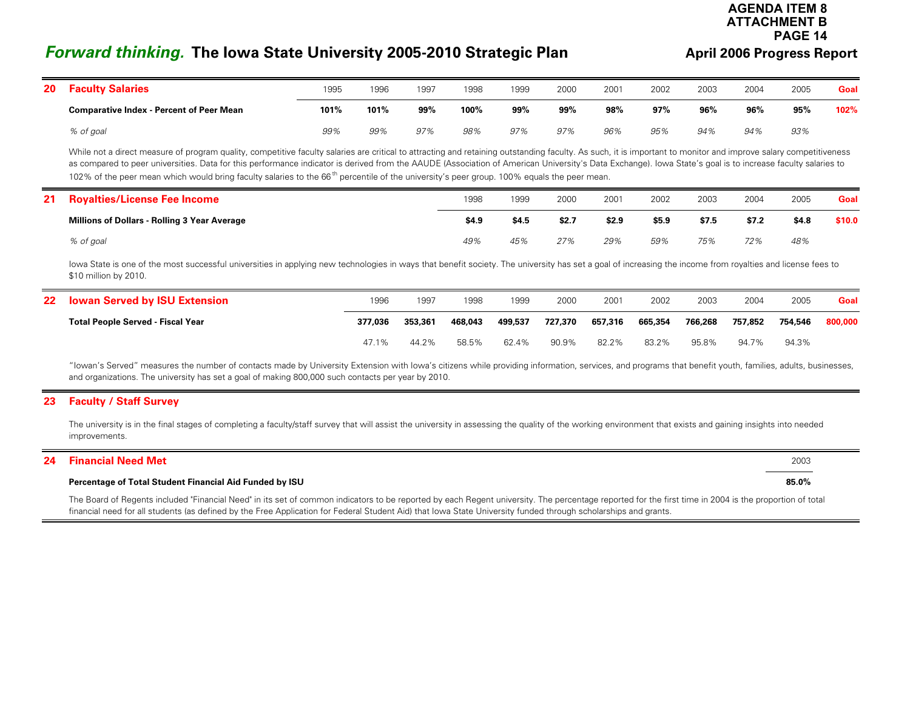# *Forward thinking.* **The Iowa State University 2005-2010 Strategic Plan <b>And April 2006 Progress Report**

#### **AGENDA ITEM 8ATTACHMENT BPAGE 14**

| 20 | <b>Faculty Salaries</b>                         | 1995 | 1996 | 1997 | 1998 | 1999 | 2000 | 2001 | 2002 | 2003 | 2004 | 2005 | Goal |
|----|-------------------------------------------------|------|------|------|------|------|------|------|------|------|------|------|------|
|    | <b>Comparative Index - Percent of Peer Mean</b> | 101% | 101% | 99%  | 100% | 99%  | 99%  | 98%  | 97%  | 96%  | 96%  | 95%  | 102% |
|    | % of goal                                       | 99%  | 99%  | 97%  | 98%  | 97%  | 97%  | 96%  | 95%  | 94%  | 94%  | 93%  |      |

While not a direct measure of program quality, competitive faculty salaries are critical to attracting and retaining outstanding faculty. As such, it is important to monitor and improve salary competitiveness as compared to peer universities. Data for this performance indicator is derived from the AAUDE (Association of American University's Data Exchange). Iowa State's goal is to increase faculty salaries to 102% of the peer mean which would bring faculty salaries to the 66<sup>th</sup> percentile of the university's peer group. 100% equals the peer mean.

| 21 | <b>Royalties/License Fee Income</b>                 | 1998  | 1999  | 2000  | 2001  | 2002  | 2003  | 2004  | 2005  | Goal   |
|----|-----------------------------------------------------|-------|-------|-------|-------|-------|-------|-------|-------|--------|
|    | <b>Millions of Dollars - Rolling 3 Year Average</b> | \$4.9 | \$4.5 | \$2.7 | \$2.9 | \$5.9 | \$7.5 | \$7.2 | \$4.8 | \$10.0 |
|    | % of goal                                           | 49%   | 45%   | 27%   | 29%   | 59%   | 75%   | 72%   | 48%   |        |

lowa State is one of the most successful universities in applying new technologies in ways that benefit society. The university has set a goal of increasing the income from royalties and license fees to \$10 million by 2010.

| 22 Iowan Served by ISU Extension         | 1996    | 1997    | 1998    | 1999    | 2000    | 2001    | 2002    | 2003    | 2004    | 2005    | Goal    |
|------------------------------------------|---------|---------|---------|---------|---------|---------|---------|---------|---------|---------|---------|
| <b>Total People Served - Fiscal Year</b> | 377,036 | 353,361 | 468,043 | 499,537 | 727,370 | 657,316 | 665,354 | 766,268 | 757,852 | 754,546 | 800,000 |
|                                          | 47.1%   | 44.2%   | 58.5%   | 62.4%   | 90.9%   | 82.2%   | 83.2%   | 95.8%   | 94.7%   | 94.3%   |         |

"Iowan's Served" measures the number of contacts made by University Extension with Iowa's citizens while providing information, services, and programs that benefit youth, families, adults, businesses, and organizations. The university has set a goal of making 800,000 such contacts per year by 2010.

#### **23 Faculty / Staff Survey**

The university is in the final stages of completing a faculty/staff survey that will assist the university in assessing the quality of the working environment that exists and gaining insights into needed improvements.

#### **24 Financial Need Met**t the contract of  $2003$

#### **Percentage of Total Student Financial Aid Funded by ISU 85.0%**

The Board of Regents included "Financial Need" in its set of common indicators to be reported by each Regent university. The percentage reported for the first time in 2004 is the proportion of total financial need for all students (as defined by the Free Application for Federal Student Aid) that Iowa State University funded through scholarships and grants.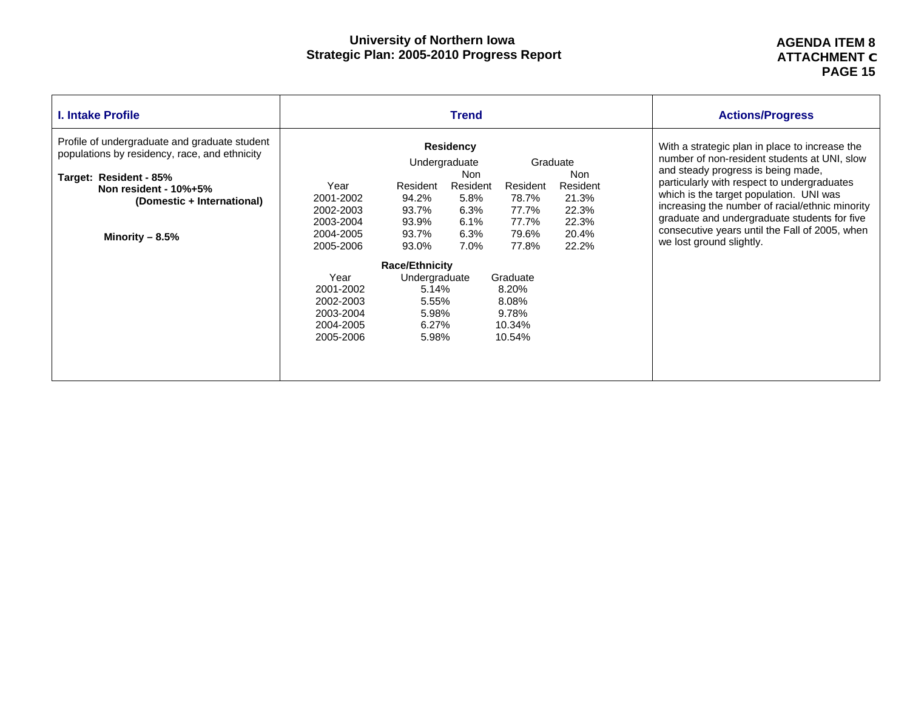#### **AGENDA ITEM 8 ATTACHMENT C PAGE 15**

| I. Intake Profile                                                                                                                                                                                         | <b>Trend</b>                                                                                                                                                                                                                                                                            | <b>Actions/Progress</b>                                                  |                                                                                                                                                                                                                                                                                                                                                                                                                 |
|-----------------------------------------------------------------------------------------------------------------------------------------------------------------------------------------------------------|-----------------------------------------------------------------------------------------------------------------------------------------------------------------------------------------------------------------------------------------------------------------------------------------|--------------------------------------------------------------------------|-----------------------------------------------------------------------------------------------------------------------------------------------------------------------------------------------------------------------------------------------------------------------------------------------------------------------------------------------------------------------------------------------------------------|
| Profile of undergraduate and graduate student<br>populations by residency, race, and ethnicity<br>Target: Resident - 85%<br>Non resident - $10\% + 5\%$<br>(Domestic + International)<br>Minority $-8.5%$ | <b>Residency</b><br>Undergraduate<br>Non<br>Year<br>Resident<br>Resident<br>Resident<br>2001-2002<br>94.2%<br>5.8%<br>78.7%<br>93.7%<br>6.3%<br>77.7%<br>2002-2003<br>93.9%<br>77.7%<br>2003-2004<br>6.1%<br>93.7%<br>6.3%<br>79.6%<br>2004-2005<br>2005-2006<br>93.0%<br>7.0%<br>77.8% | Graduate<br>Non<br>Resident<br>21.3%<br>22.3%<br>22.3%<br>20.4%<br>22.2% | With a strategic plan in place to increase the<br>number of non-resident students at UNI, slow<br>and steady progress is being made,<br>particularly with respect to undergraduates<br>which is the target population. UNI was<br>increasing the number of racial/ethnic minority<br>graduate and undergraduate students for five<br>consecutive years until the Fall of 2005, when<br>we lost ground slightly. |
|                                                                                                                                                                                                           | <b>Race/Ethnicity</b><br>Year<br>Undergraduate<br>Graduate<br>2001-2002<br>5.14%<br>8.20%<br>8.08%<br>2002-2003<br>5.55%<br>9.78%<br>5.98%<br>2003-2004<br>6.27%<br>2004-2005<br>10.34%<br>2005-2006<br>5.98%<br>10.54%                                                                 |                                                                          |                                                                                                                                                                                                                                                                                                                                                                                                                 |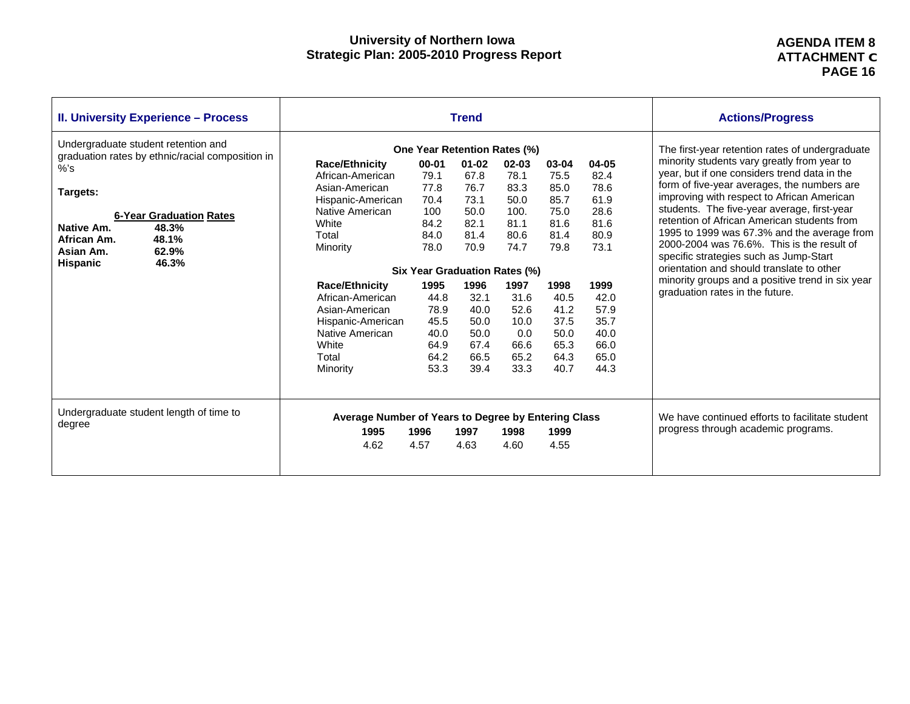#### **AGENDA ITEM 8 ATTACHMENT C PAGE 16**

| <b>II. University Experience - Process</b>                                                                                                                                                                                |                                                                                                                                   |                                                                                                         | <b>Trend</b>                                                      |                                                                   |                                                               |                                                               | <b>Actions/Progress</b>                                                                                                                                                                                                                                                                                                                                                                                                                                                          |
|---------------------------------------------------------------------------------------------------------------------------------------------------------------------------------------------------------------------------|-----------------------------------------------------------------------------------------------------------------------------------|---------------------------------------------------------------------------------------------------------|-------------------------------------------------------------------|-------------------------------------------------------------------|---------------------------------------------------------------|---------------------------------------------------------------|----------------------------------------------------------------------------------------------------------------------------------------------------------------------------------------------------------------------------------------------------------------------------------------------------------------------------------------------------------------------------------------------------------------------------------------------------------------------------------|
| Undergraduate student retention and<br>graduation rates by ethnic/racial composition in<br>%S<br>Targets:<br><b>6-Year Graduation Rates</b><br>48.3%<br>Native Am.<br>48.1%<br>African Am.<br>62.9%<br>Asian Am.<br>46.3% | <b>Race/Ethnicity</b><br>African-American<br>Asian-American<br>Hispanic-American<br>Native American<br>White<br>Total<br>Minority | <b>One Year Retention Rates (%)</b><br>$00 - 01$<br>79.1<br>77.8<br>70.4<br>100<br>84.2<br>84.0<br>78.0 | $01 - 02$<br>67.8<br>76.7<br>73.1<br>50.0<br>82.1<br>81.4<br>70.9 | $02 - 03$<br>78.1<br>83.3<br>50.0<br>100.<br>81.1<br>80.6<br>74.7 | 03-04<br>75.5<br>85.0<br>85.7<br>75.0<br>81.6<br>81.4<br>79.8 | 04-05<br>82.4<br>78.6<br>61.9<br>28.6<br>81.6<br>80.9<br>73.1 | The first-year retention rates of undergraduate<br>minority students vary greatly from year to<br>year, but if one considers trend data in the<br>form of five-year averages, the numbers are<br>improving with respect to African American<br>students. The five-year average, first-year<br>retention of African American students from<br>1995 to 1999 was 67.3% and the average from<br>2000-2004 was 76.6%. This is the result of<br>specific strategies such as Jump-Start |
| <b>Hispanic</b>                                                                                                                                                                                                           | <b>Race/Ethnicity</b><br>African-American<br>Asian-American<br>Hispanic-American<br>Native American<br>White<br>Total<br>Minority | Six Year Graduation Rates (%)<br>1995<br>44.8<br>78.9<br>45.5<br>40.0<br>64.9<br>64.2<br>53.3           | 1996<br>32.1<br>40.0<br>50.0<br>50.0<br>67.4<br>66.5<br>39.4      | 1997<br>31.6<br>52.6<br>10.0<br>0.0<br>66.6<br>65.2<br>33.3       | 1998<br>40.5<br>41.2<br>37.5<br>50.0<br>65.3<br>64.3<br>40.7  | 1999<br>42.0<br>57.9<br>35.7<br>40.0<br>66.0<br>65.0<br>44.3  | orientation and should translate to other<br>minority groups and a positive trend in six year<br>graduation rates in the future.                                                                                                                                                                                                                                                                                                                                                 |
| Undergraduate student length of time to<br>degree                                                                                                                                                                         | Average Number of Years to Degree by Entering Class<br>1995<br>4.62                                                               | 1996<br>4.57                                                                                            | 1997<br>4.63                                                      | 1998<br>4.60                                                      | 1999<br>4.55                                                  |                                                               | We have continued efforts to facilitate student<br>progress through academic programs.                                                                                                                                                                                                                                                                                                                                                                                           |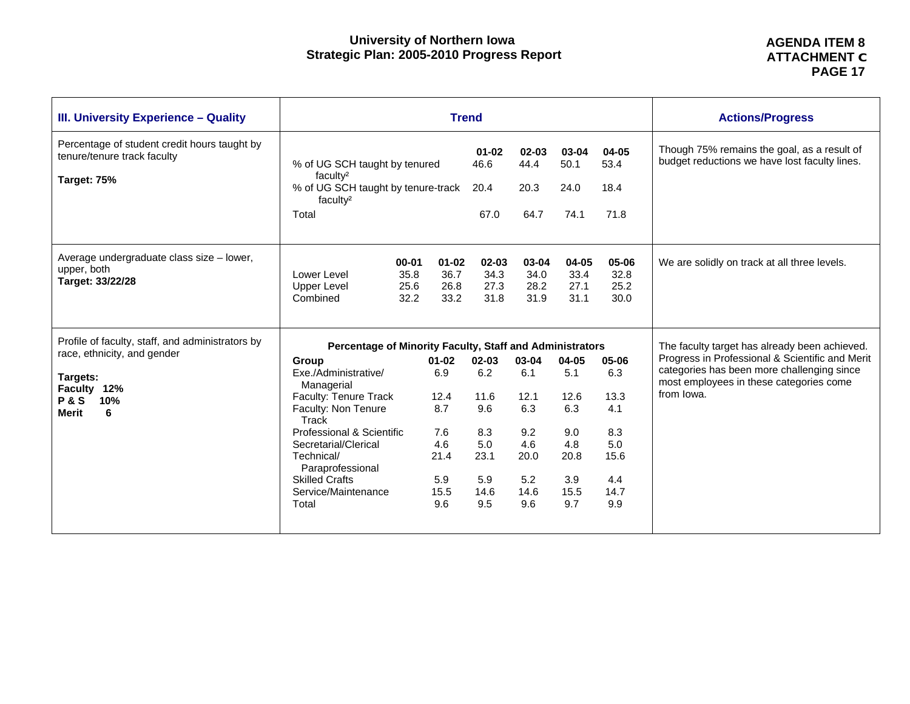| <b>III. University Experience - Quality</b>                                                                                                       |                                                                                                                                                                                                                                                                                                                  |                                                                             | <b>Trend</b>                                                            |                                                                         |                                                                         |                                                                         | <b>Actions/Progress</b>                                                                                                                                                                                 |  |  |  |
|---------------------------------------------------------------------------------------------------------------------------------------------------|------------------------------------------------------------------------------------------------------------------------------------------------------------------------------------------------------------------------------------------------------------------------------------------------------------------|-----------------------------------------------------------------------------|-------------------------------------------------------------------------|-------------------------------------------------------------------------|-------------------------------------------------------------------------|-------------------------------------------------------------------------|---------------------------------------------------------------------------------------------------------------------------------------------------------------------------------------------------------|--|--|--|
| Percentage of student credit hours taught by<br>tenure/tenure track faculty<br>Target: 75%                                                        | % of UG SCH taught by tenured<br>facultv <sup>2</sup><br>% of UG SCH taught by tenure-track<br>faculty <sup>2</sup><br>Total                                                                                                                                                                                     |                                                                             | $01 - 02$<br>46.6<br>20.4<br>67.0                                       | $02 - 03$<br>44.4<br>20.3<br>64.7                                       | 03-04<br>50.1<br>24.0<br>74.1                                           | 04-05<br>53.4<br>18.4<br>71.8                                           | Though 75% remains the goal, as a result of<br>budget reductions we have lost faculty lines.                                                                                                            |  |  |  |
| Average undergraduate class size - lower,<br>upper, both<br>Target: 33/22/28                                                                      | $00 - 01$<br>35.8<br>Lower Level<br>25.6<br><b>Upper Level</b><br>Combined<br>32.2                                                                                                                                                                                                                               | $01 - 02$<br>36.7<br>26.8<br>33.2                                           | 02-03<br>34.3<br>27.3<br>31.8                                           | 03-04<br>34.0<br>28.2<br>31.9                                           | 04-05<br>33.4<br>27.1<br>31.1                                           | 05-06<br>32.8<br>25.2<br>30.0                                           | We are solidly on track at all three levels.                                                                                                                                                            |  |  |  |
| Profile of faculty, staff, and administrators by<br>race, ethnicity, and gender<br>Targets:<br>Faculty 12%<br><b>P&amp;S</b><br>10%<br>Merit<br>6 | Percentage of Minority Faculty, Staff and Administrators<br>Group<br>Exe./Administrative/<br>Managerial<br>Faculty: Tenure Track<br>Faculty: Non Tenure<br>Track<br>Professional & Scientific<br>Secretarial/Clerical<br>Technical/<br>Paraprofessional<br><b>Skilled Crafts</b><br>Service/Maintenance<br>Total | $01 - 02$<br>6.9<br>12.4<br>8.7<br>7.6<br>4.6<br>21.4<br>5.9<br>15.5<br>9.6 | 02-03<br>6.2<br>11.6<br>9.6<br>8.3<br>5.0<br>23.1<br>5.9<br>14.6<br>9.5 | 03-04<br>6.1<br>12.1<br>6.3<br>9.2<br>4.6<br>20.0<br>5.2<br>14.6<br>9.6 | 04-05<br>5.1<br>12.6<br>6.3<br>9.0<br>4.8<br>20.8<br>3.9<br>15.5<br>9.7 | 05-06<br>6.3<br>13.3<br>4.1<br>8.3<br>5.0<br>15.6<br>4.4<br>14.7<br>9.9 | The faculty target has already been achieved.<br>Progress in Professional & Scientific and Merit<br>categories has been more challenging since<br>most employees in these categories come<br>from lowa. |  |  |  |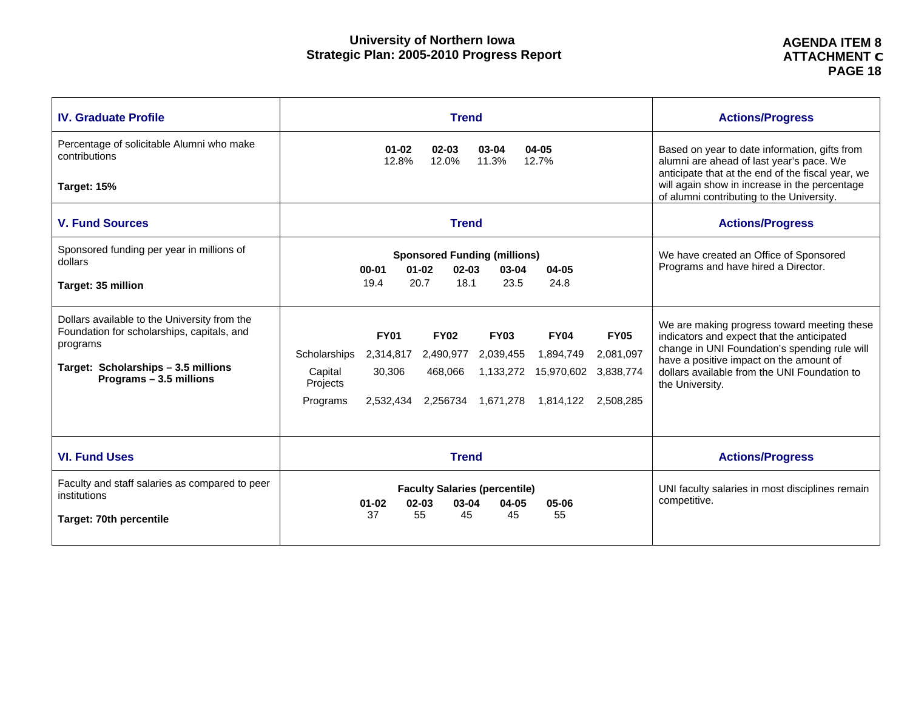| <b>IV. Graduate Profile</b>                                                                | <b>Trend</b>                                                                                 | <b>Actions/Progress</b>                                                                                                                        |
|--------------------------------------------------------------------------------------------|----------------------------------------------------------------------------------------------|------------------------------------------------------------------------------------------------------------------------------------------------|
| Percentage of solicitable Alumni who make<br>contributions                                 | $01 - 02$<br>$02 - 03$<br>03-04<br>$04 - 05$<br>12.8%<br>12.0%<br>11.3%<br>12.7%             | Based on year to date information, gifts from<br>alumni are ahead of last year's pace. We<br>anticipate that at the end of the fiscal year, we |
| Target: 15%                                                                                |                                                                                              | will again show in increase in the percentage<br>of alumni contributing to the University.                                                     |
| <b>V. Fund Sources</b>                                                                     | <b>Trend</b>                                                                                 | <b>Actions/Progress</b>                                                                                                                        |
| Sponsored funding per year in millions of<br>dollars                                       | <b>Sponsored Funding (millions)</b><br>$01 - 02$<br>$02 - 03$<br>03-04<br>$00 - 01$<br>04-05 | We have created an Office of Sponsored<br>Programs and have hired a Director.                                                                  |
| Target: 35 million                                                                         | 20.7<br>18.1<br>23.5<br>24.8<br>19.4                                                         |                                                                                                                                                |
| Dollars available to the University from the<br>Foundation for scholarships, capitals, and | <b>FY01</b><br><b>FY05</b><br><b>FY02</b><br><b>FY03</b><br><b>FY04</b>                      | We are making progress toward meeting these<br>indicators and expect that the anticipated                                                      |
| programs                                                                                   | 2,081,097<br>Scholarships<br>2,314,817<br>2,490,977<br>2,039,455<br>1,894,749                | change in UNI Foundation's spending rule will                                                                                                  |
| Target: Scholarships - 3.5 millions<br>Programs - 3.5 millions                             | 30,306<br>1,133,272<br>15,970,602 3,838,774<br>Capital<br>468,066<br>Projects                | have a positive impact on the amount of<br>dollars available from the UNI Foundation to<br>the University.                                     |
|                                                                                            | Programs<br>2,532,434<br>2,256734 1,671,278<br>1.814.122<br>2.508.285                        |                                                                                                                                                |
|                                                                                            |                                                                                              |                                                                                                                                                |
| <b>VI. Fund Uses</b>                                                                       | <b>Trend</b>                                                                                 | <b>Actions/Progress</b>                                                                                                                        |
| Faculty and staff salaries as compared to peer<br>institutions                             | <b>Faculty Salaries (percentile)</b><br>$01 - 02$<br>$02 - 03$<br>03-04<br>04-05<br>05-06    | UNI faculty salaries in most disciplines remain<br>competitive.                                                                                |
| Target: 70th percentile                                                                    | 55<br>37<br>45<br>45<br>55                                                                   |                                                                                                                                                |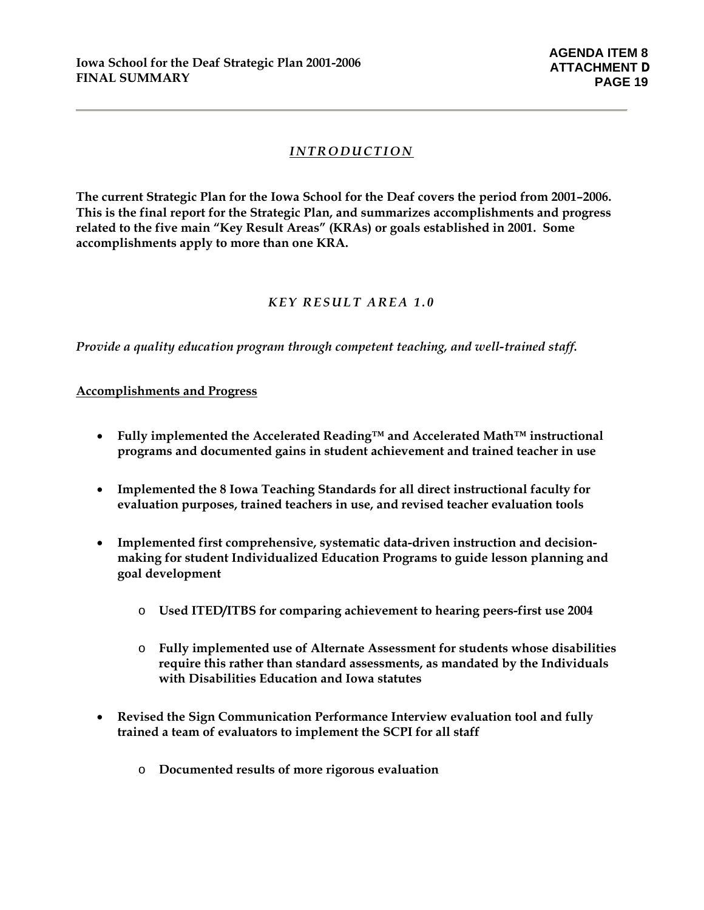## *INTRODUCTION*

**The current Strategic Plan for the Iowa School for the Deaf covers the period from 2001–2006. This is the final report for the Strategic Plan, and summarizes accomplishments and progress related to the five main "Key Result Areas" (KRAs) or goals established in 2001. Some accomplishments apply to more than one KRA.** 

## *KEY RESULT AREA 1.0*

*Provide a quality education program through competent teaching, and well-trained staff.* 

#### **Accomplishments and Progress**

- **Fully implemented the Accelerated Reading™ and Accelerated Math™ instructional programs and documented gains in student achievement and trained teacher in use**
- **Implemented the 8 Iowa Teaching Standards for all direct instructional faculty for evaluation purposes, trained teachers in use, and revised teacher evaluation tools**
- **Implemented first comprehensive, systematic data-driven instruction and decisionmaking for student Individualized Education Programs to guide lesson planning and goal development** 
	- o **Used ITED/ITBS for comparing achievement to hearing peers-first use 2004**
	- o **Fully implemented use of Alternate Assessment for students whose disabilities require this rather than standard assessments, as mandated by the Individuals with Disabilities Education and Iowa statutes**
- **Revised the Sign Communication Performance Interview evaluation tool and fully trained a team of evaluators to implement the SCPI for all staff** 
	- o **Documented results of more rigorous evaluation**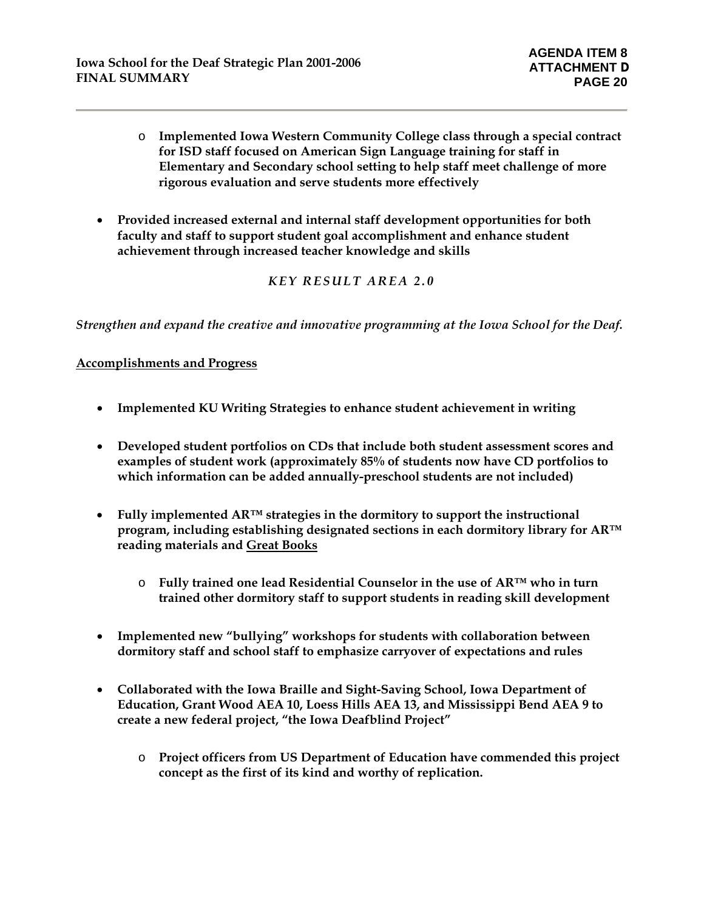- o **Implemented Iowa Western Community College class through a special contract for ISD staff focused on American Sign Language training for staff in Elementary and Secondary school setting to help staff meet challenge of more rigorous evaluation and serve students more effectively**
- **Provided increased external and internal staff development opportunities for both faculty and staff to support student goal accomplishment and enhance student achievement through increased teacher knowledge and skills**

## *KEY RESULT AREA 2.0*

*Strengthen and expand the creative and innovative programming at the Iowa School for the Deaf.*

#### **Accomplishments and Progress**

- **Implemented KU Writing Strategies to enhance student achievement in writing**
- **Developed student portfolios on CDs that include both student assessment scores and examples of student work (approximately 85% of students now have CD portfolios to which information can be added annually-preschool students are not included)**
- **Fully implemented AR™ strategies in the dormitory to support the instructional program, including establishing designated sections in each dormitory library for AR™ reading materials and Great Books**
	- o **Fully trained one lead Residential Counselor in the use of AR™ who in turn trained other dormitory staff to support students in reading skill development**
- **Implemented new "bullying" workshops for students with collaboration between dormitory staff and school staff to emphasize carryover of expectations and rules**
- **Collaborated with the Iowa Braille and Sight-Saving School, Iowa Department of Education, Grant Wood AEA 10, Loess Hills AEA 13, and Mississippi Bend AEA 9 to create a new federal project, "the Iowa Deafblind Project"** 
	- o **Project officers from US Department of Education have commended this project concept as the first of its kind and worthy of replication.**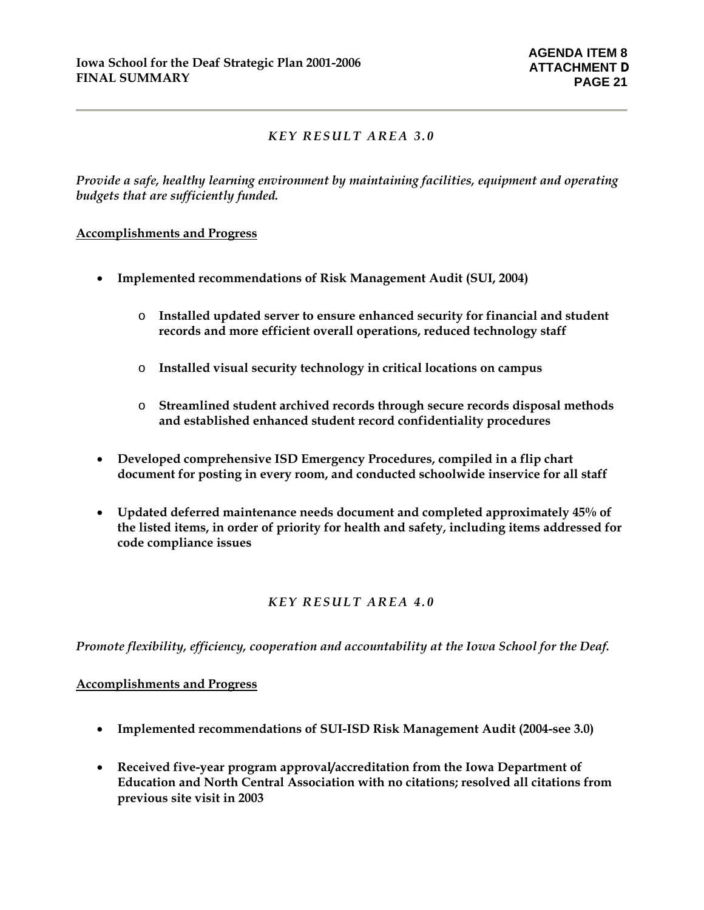## *KEY RESULT AREA 3.0*

*Provide a safe, healthy learning environment by maintaining facilities, equipment and operating budgets that are sufficiently funded.* 

#### **Accomplishments and Progress**

- **Implemented recommendations of Risk Management Audit (SUI, 2004)** 
	- o **Installed updated server to ensure enhanced security for financial and student records and more efficient overall operations, reduced technology staff**
	- o **Installed visual security technology in critical locations on campus**
	- o **Streamlined student archived records through secure records disposal methods and established enhanced student record confidentiality procedures**
- **Developed comprehensive ISD Emergency Procedures, compiled in a flip chart document for posting in every room, and conducted schoolwide inservice for all staff**
- **Updated deferred maintenance needs document and completed approximately 45% of the listed items, in order of priority for health and safety, including items addressed for code compliance issues**

## *KEY RESULT AREA 4.0*

*Promote flexibility, efficiency, cooperation and accountability at the Iowa School for the Deaf.*

#### **Accomplishments and Progress**

- **Implemented recommendations of SUI-ISD Risk Management Audit (2004-see 3.0)**
- **Received five-year program approval/accreditation from the Iowa Department of Education and North Central Association with no citations; resolved all citations from previous site visit in 2003**